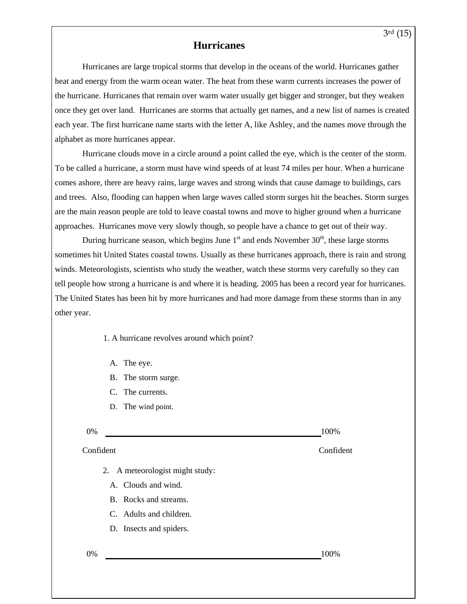## **Hurricanes**

Hurricanes are large tropical storms that develop in the oceans of the world. Hurricanes gather heat and energy from the warm ocean water. The heat from these warm currents increases the power of the hurricane. Hurricanes that remain over warm water usually get bigger and stronger, but they weaken once they get over land. Hurricanes are storms that actually get names, and a new list of names is created each year. The first hurricane name starts with the letter A, like Ashley, and the names move through the alphabet as more hurricanes appear.

Hurricane clouds move in a circle around a point called the eye, which is the center of the storm. To be called a hurricane, a storm must have wind speeds of at least 74 miles per hour. When a hurricane comes ashore, there are heavy rains, large waves and strong winds that cause damage to buildings, cars and trees. Also, flooding can happen when large waves called storm surges hit the beaches. Storm surges are the main reason people are told to leave coastal towns and move to higher ground when a hurricane approaches. Hurricanes move very slowly though, so people have a chance to get out of their way.

During hurricane season, which begins June  $1<sup>st</sup>$  and ends November  $30<sup>th</sup>$ , these large storms sometimes hit United States coastal towns. Usually as these hurricanes approach, there is rain and strong winds. Meteorologists, scientists who study the weather, watch these storms very carefully so they can tell people how strong a hurricane is and where it is heading. 2005 has been a record year for hurricanes. The United States has been hit by more hurricanes and had more damage from these storms than in any other year.

1. A hurricane revolves around which point?

- A. The eye.
- B. The storm surge.
- C. The currents.
- D. The wind point.

| 0% | 100% |
|----|------|
|----|------|

## ConfidentConfident

- 2. A meteorologist might study:
	- A. Clouds and wind.
	- B. Rocks and streams.
	- C. Adults and children.
	- D. Insects and spiders.

0% 100%